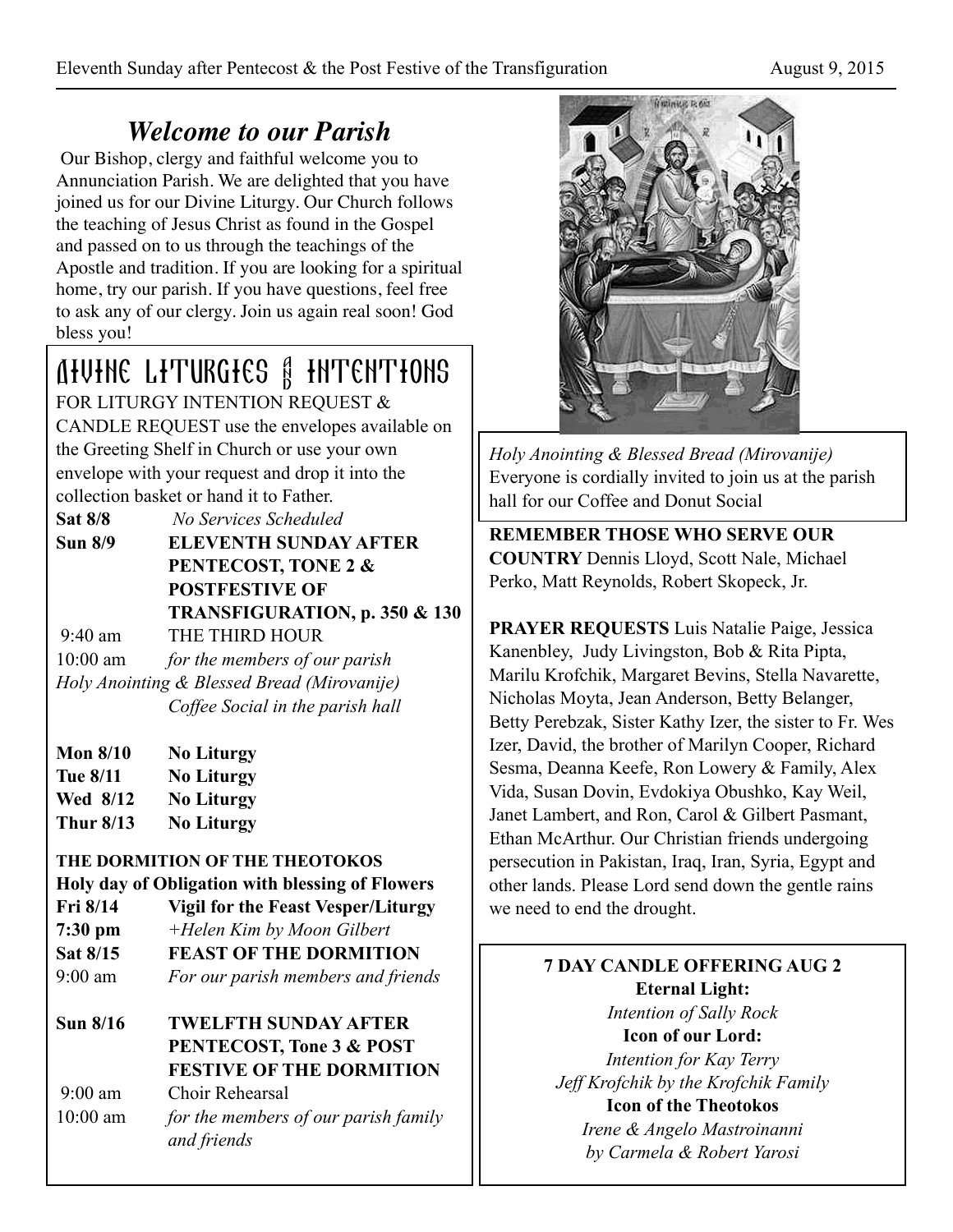# *Welcome to our Parish*

 Our Bishop, clergy and faithful welcome you to Annunciation Parish. We are delighted that you have joined us for our Divine Liturgy. Our Church follows the teaching of Jesus Christ as found in the Gospel and passed on to us through the teachings of the Apostle and tradition. If you are looking for a spiritual home, try our parish. If you have questions, feel free to ask any of our clergy. Join us again real soon! God bless you!

## Divine Liturgies & Intentions FOR LITURGY INTENTION REQUEST &

CANDLE REQUEST use the envelopes available on the Greeting Shelf in Church or use your own envelope with your request and drop it into the collection basket or hand it to Father.

| <b>Sat 8/8</b>    | No Services Scheduled         |
|-------------------|-------------------------------|
| Sun 8/9           | <b>ELEVENTH SUNDAY AFTER</b>  |
|                   | PENTECOST, TONE 2 &           |
|                   | <b>POSTFESTIVE OF</b>         |
|                   | TRANSFIGURATION, p. 350 & 130 |
| $9.40 \text{ am}$ | THE THIRD HOUR                |

9:40 am THE THIRD HOUR

10:00 am *for the members of our parish Holy Anointing & Blessed Bread (Mirovanije) Coffee Social in the parish hall*

- **Mon 8/10 No Liturgy Tue 8/11 No Liturgy Wed 8/12 No Liturgy**
- **Thur 8/13 No Liturgy**

## **THE DORMITION OF THE THEOTOKOS**

## **Holy day of Obligation with blessing of Flowers**

- **Fri 8/14 Vigil for the Feast Vesper/Liturgy**
- **7:30 pm** *+Helen Kim by Moon Gilbert*
- **Sat 8/15 FEAST OF THE DORMITION**
- 9:00 am *For our parish members and friends*

## **Sun 8/16 TWELFTH SUNDAY AFTER PENTECOST, Tone 3 & POST FESTIVE OF THE DORMITION**

 9:00 am Choir Rehearsal 10:00 am *for the members of our parish family and friends* 



*Holy Anointing & Blessed Bread (Mirovanije)*  Everyone is cordially invited to join us at the parish hall for our Coffee and Donut Social

**REMEMBER THOSE WHO SERVE OUR COUNTRY** Dennis Lloyd, Scott Nale, Michael Perko, Matt Reynolds, Robert Skopeck, Jr.

**PRAYER REQUESTS** Luis Natalie Paige, Jessica Kanenbley, Judy Livingston, Bob & Rita Pipta, Marilu Krofchik, Margaret Bevins, Stella Navarette, Nicholas Moyta, Jean Anderson, Betty Belanger, Betty Perebzak, Sister Kathy Izer, the sister to Fr. Wes Izer, David, the brother of Marilyn Cooper, Richard Sesma, Deanna Keefe, Ron Lowery & Family, Alex Vida, Susan Dovin, Evdokiya Obushko, Kay Weil, Janet Lambert, and Ron, Carol & Gilbert Pasmant, Ethan McArthur. Our Christian friends undergoing persecution in Pakistan, Iraq, Iran, Syria, Egypt and other lands. Please Lord send down the gentle rains we need to end the drought.

> **7 DAY CANDLE OFFERING AUG 2 Eternal Light:**  *Intention of Sally Rock*  **Icon of our Lord:**  *Intention for Kay Terry Jeff Krofchik by the Krofchik Family*  **Icon of the Theotokos**  *Irene & Angelo Mastroinanni*

*by Carmela & Robert Yarosi*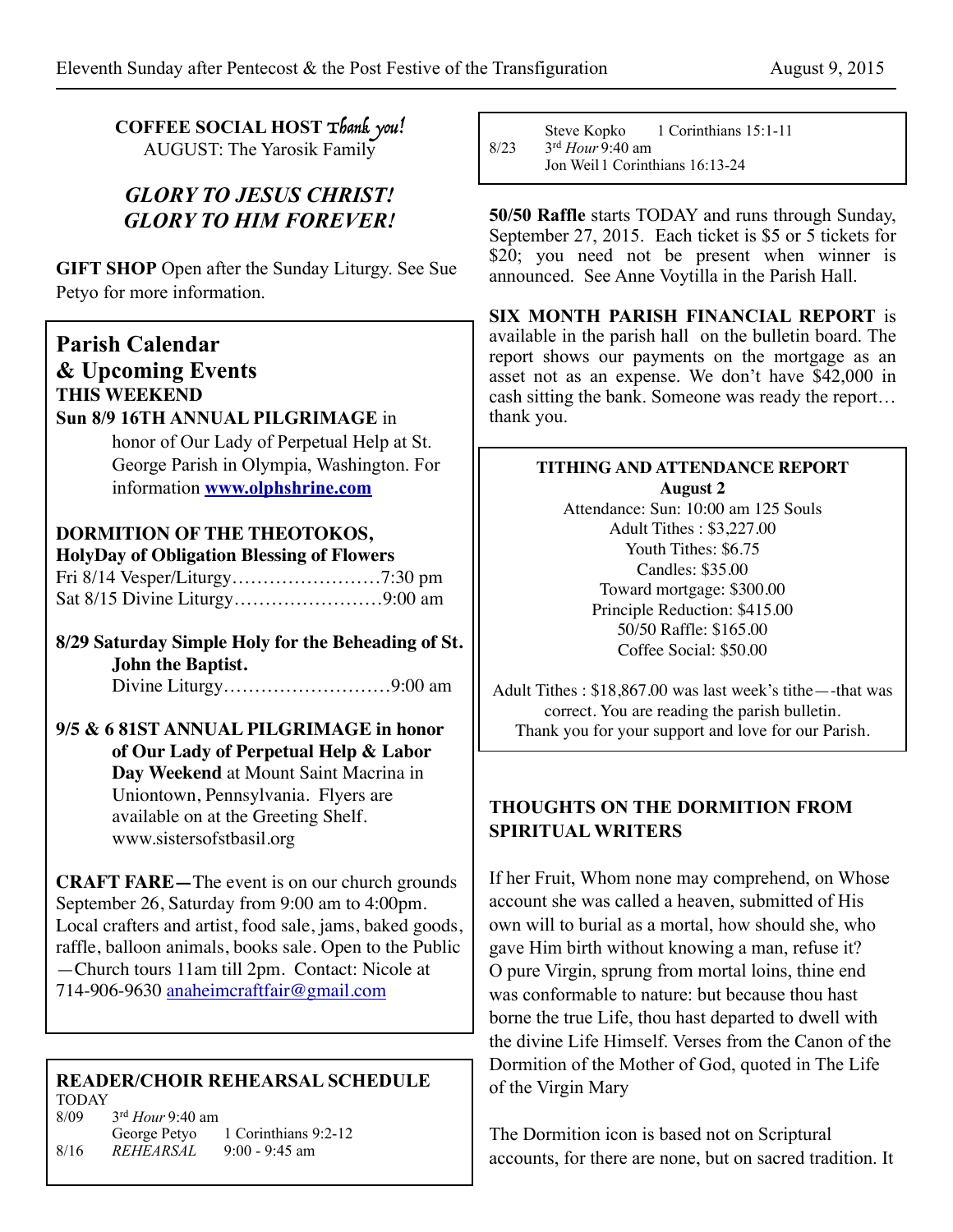**COFFEE SOCIAL HOST** Thank you! AUGUST: The Yarosik Family

## *GLORY TO JESUS CHRIST! GLORY TO HIM FOREVER!*

**GIFT SHOP** Open after the Sunday Liturgy. See Sue Petyo for more information.

## **Parish Calendar & Upcoming Events THIS WEEKEND**

### **Sun 8/9 16TH ANNUAL PILGRIMAGE** in

 honor of Our Lady of Perpetual Help at St. George Parish in Olympia, Washington. For information **[www.olphshrine.com](http://www.olphshrine.com)**

## **DORMITION OF THE THEOTOKOS,**

| <b>HolyDay of Obligation Blessing of Flowers</b> |  |  |
|--------------------------------------------------|--|--|
|                                                  |  |  |
|                                                  |  |  |

**8/29 Saturday Simple Holy for the Beheading of St. John the Baptist.** Divine Liturgy………………………9:00 am

#### **9/5 & 6 81ST ANNUAL PILGRIMAGE in honor of Our Lady of Perpetual Help & Labor Day Weekend** at Mount Saint Macrina in Uniontown, Pennsylvania. Flyers are available on at the Greeting Shelf. www.sistersofstbasil.org

**CRAFT FARE—**The event is on our church grounds September 26, Saturday from 9:00 am to 4:00pm. Local crafters and artist, food sale, jams, baked goods, raffle, balloon animals, books sale. Open to the Public —Church tours 11am till 2pm. Contact: Nicole at 714-906-9630 [anaheimcraftfair@gmail.com](mailto:anaheimcraftfair@gmail.com)

#### **READER/CHOIR REHEARSAL SCHEDULE** TODAY

8/09 3rd *Hour* 9:40 am George Petyo 1 Corinthians 9:2-12<br>8/16 REHEARSAL 9:00 - 9:45 am 9:00 - 9:45 am

Steve Kopko 1 Corinthians 15:1-11<br> $8/23$   $3^{rd}$  Hour 9:40 am 8/23 3rd *Hour* 9:40 am Jon Weil 1 Corinthians 16:13-24

**50/50 Raffle** starts TODAY and runs through Sunday, September 27, 2015. Each ticket is \$5 or 5 tickets for \$20; you need not be present when winner is announced. See Anne Voytilla in the Parish Hall.

**SIX MONTH PARISH FINANCIAL REPORT** is available in the parish hall on the bulletin board. The report shows our payments on the mortgage as an asset not as an expense. We don't have \$42,000 in cash sitting the bank. Someone was ready the report… thank you.

## **TITHING AND ATTENDANCE REPORT August 2**

Attendance: Sun: 10:00 am 125 Souls Adult Tithes : \$3,227.00 Youth Tithes: \$6.75 Candles: \$35.00 Toward mortgage: \$300.00 Principle Reduction: \$415.00 50/50 Raffle: \$165.00 Coffee Social: \$50.00

Adult Tithes : \$18,867.00 was last week's tithe—-that was correct. You are reading the parish bulletin. Thank you for your support and love for our Parish.

## **THOUGHTS ON THE DORMITION FROM SPIRITUAL WRITERS**

If her Fruit, Whom none may comprehend, on Whose account she was called a heaven, submitted of His own will to burial as a mortal, how should she, who gave Him birth without knowing a man, refuse it? O pure Virgin, sprung from mortal loins, thine end was conformable to nature: but because thou hast borne the true Life, thou hast departed to dwell with the divine Life Himself. Verses from the Canon of the Dormition of the Mother of God, quoted in The Life of the Virgin Mary

The Dormition icon is based not on Scriptural accounts, for there are none, but on sacred tradition. It